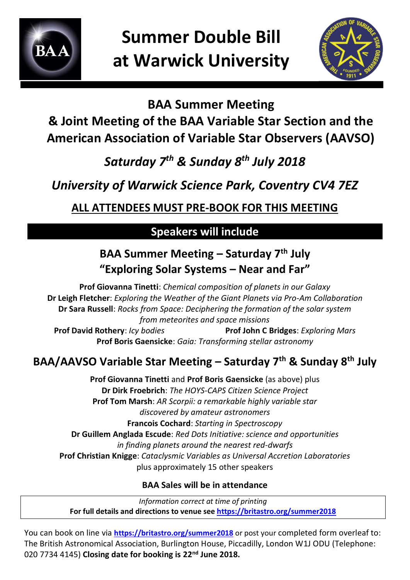

**Summer Double Bill at Warwick University**



#### **BAA Summer Meeting**

## **& Joint Meeting of the BAA Variable Star Section and the American Association of Variable Star Observers (AAVSO)**

# *Saturday 7th & Sunday 8th July 2018*

# *University of Warwick Science Park, Coventry CV4 7EZ*

## **ALL ATTENDEES MUST PRE-BOOK FOR THIS MEETING**

#### **Speakers will include**

## **BAA Summer Meeting – Saturday 7th July "Exploring Solar Systems – Near and Far"**

**Prof Giovanna Tinetti**: *Chemical composition of planets in our Galaxy* **Dr Leigh Fletcher**: *Exploring the Weather of the Giant Planets via Pro-Am Collaboration* **Dr Sara Russell**: *Rocks from Space: Deciphering the formation of the solar system from meteorites and space missions*

**Prof David Rothery**: *Icy bodies* **Prof John C Bridges**: *Exploring Mars* **Prof Boris Gaensicke**: *Gaia: Transforming stellar astronomy*

## **BAA/AAVSO Variable Star Meeting – Saturday 7th & Sunday 8th July**

**Prof Giovanna Tinetti** and **Prof Boris Gaensicke** (as above) plus **Dr Dirk Froebrich**: *The HOYS-CAPS Citizen Science Project* **Prof Tom Marsh**: *AR Scorpii: a remarkable highly variable star discovered by amateur astronomers*  **Francois Cochard**: *Starting in Spectroscopy* **Dr Guillem Anglada Escude**: *Red Dots Initiative: science and opportunities in finding planets around the nearest red-dwarfs* **Prof Christian Knigge**: *Cataclysmic Variables as Universal Accretion Laboratories* plus approximately 15 other speakers

#### **BAA Sales will be in attendance**

*Information correct at time of printing* **For full details and directions to venue see<https://britastro.org/summer2018>**

You can book on line via **<https://britastro.org/summer2018>** or post your completed form overleaf to: The British Astronomical Association, Burlington House, Piccadilly, London W1J ODU (Telephone: 020 7734 4145) **Closing date for booking is 22nd June 2018.**